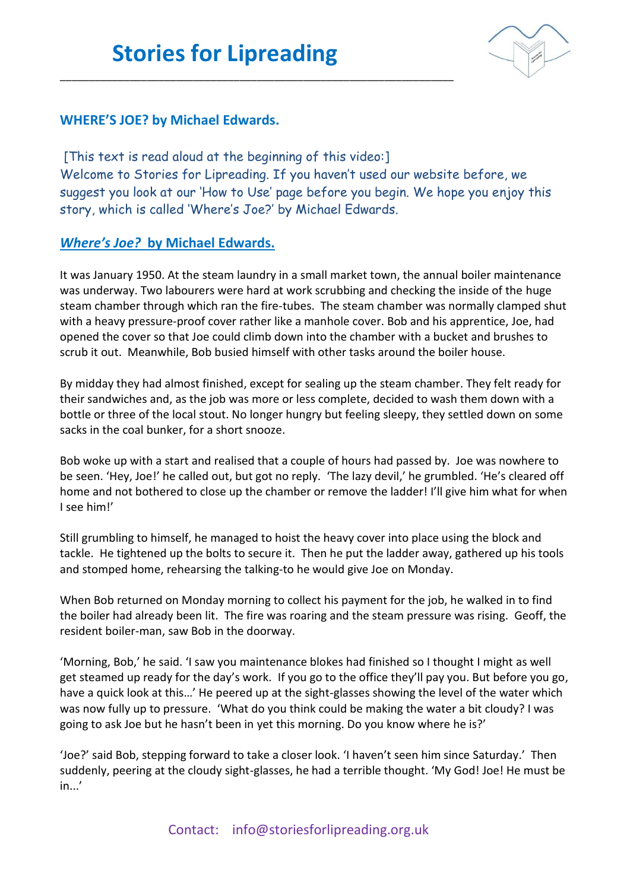\_\_\_\_\_\_\_\_\_\_\_\_\_\_\_\_\_\_\_\_\_\_\_\_\_\_\_\_\_\_\_\_\_\_\_\_\_\_\_\_\_\_\_\_\_\_\_\_\_\_\_\_\_\_\_\_\_\_\_\_\_\_\_\_\_\_\_\_



## **WHERE'S JOE? by Michael Edwards.**

[This text is read aloud at the beginning of this video:] Welcome to Stories for Lipreading. If you haven't used our website before, we suggest you look at our 'How to Use' page before you begin. We hope you enjoy this story, which is called 'Where's Joe?' by Michael Edwards.

## *Where's Joe?* **by Michael Edwards.**

It was January 1950. At the steam laundry in a small market town, the annual boiler maintenance was underway. Two labourers were hard at work scrubbing and checking the inside of the huge steam chamber through which ran the fire-tubes. The steam chamber was normally clamped shut with a heavy pressure-proof cover rather like a manhole cover. Bob and his apprentice, Joe, had opened the cover so that Joe could climb down into the chamber with a bucket and brushes to scrub it out. Meanwhile, Bob busied himself with other tasks around the boiler house.

By midday they had almost finished, except for sealing up the steam chamber. They felt ready for their sandwiches and, as the job was more or less complete, decided to wash them down with a bottle or three of the local stout. No longer hungry but feeling sleepy, they settled down on some sacks in the coal bunker, for a short snooze.

Bob woke up with a start and realised that a couple of hours had passed by. Joe was nowhere to be seen. 'Hey, Joe!' he called out, but got no reply. 'The lazy devil,' he grumbled. 'He's cleared off home and not bothered to close up the chamber or remove the ladder! I'll give him what for when I see him!'

Still grumbling to himself, he managed to hoist the heavy cover into place using the block and tackle. He tightened up the bolts to secure it. Then he put the ladder away, gathered up his tools and stomped home, rehearsing the talking-to he would give Joe on Monday.

When Bob returned on Monday morning to collect his payment for the job, he walked in to find the boiler had already been lit. The fire was roaring and the steam pressure was rising. Geoff, the resident boiler-man, saw Bob in the doorway.

'Morning, Bob,' he said. 'I saw you maintenance blokes had finished so I thought I might as well get steamed up ready for the day's work. If you go to the office they'll pay you. But before you go, have a quick look at this…' He peered up at the sight-glasses showing the level of the water which was now fully up to pressure. 'What do you think could be making the water a bit cloudy? I was going to ask Joe but he hasn't been in yet this morning. Do you know where he is?'

'Joe?' said Bob, stepping forward to take a closer look. 'I haven't seen him since Saturday.' Then suddenly, peering at the cloudy sight-glasses, he had a terrible thought. 'My God! Joe! He must be in...'